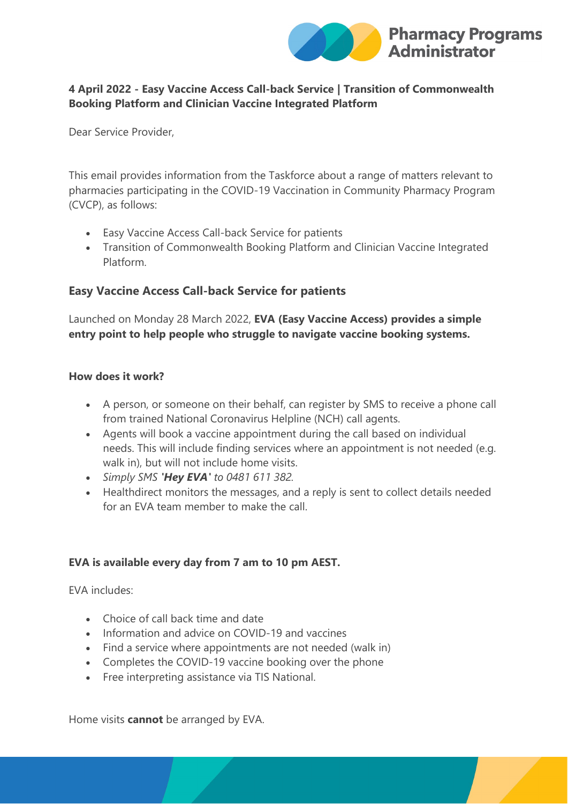

### **4 April 2022 - Easy Vaccine Access Call-back Service | Transition of Commonwealth Booking Platform and Clinician Vaccine Integrated Platform**

Dear Service Provider,

This email provides information from the Taskforce about a range of matters relevant to pharmacies participating in the COVID-19 Vaccination in Community Pharmacy Program (CVCP), as follows:

- Easy Vaccine Access Call-back Service for patients
- Transition of Commonwealth Booking Platform and Clinician Vaccine Integrated Platform.

## **Easy Vaccine Access Call-back Service for patients**

Launched on Monday 28 March 2022, **EVA (Easy Vaccine Access) provides a simple entry point to help people who struggle to navigate vaccine booking systems.**

#### **How does it work?**

- A person, or someone on their behalf, can register by SMS to receive a phone call from trained National Coronavirus Helpline (NCH) call agents.
- Agents will book a vaccine appointment during the call based on individual needs. This will include finding services where an appointment is not needed (e.g. walk in), but will not include home visits.
- *Simply SMS 'Hey EVA' to 0481 611 382.*
- Healthdirect monitors the messages, and a reply is sent to collect details needed for an EVA team member to make the call.

### **EVA is available every day from 7 am to 10 pm AEST.**

EVA includes:

- Choice of call back time and date
- Information and advice on COVID-19 and vaccines
- Find a service where appointments are not needed (walk in)
- Completes the COVID-19 vaccine booking over the phone
- Free interpreting assistance via TIS National.

Home visits **cannot** be arranged by EVA.